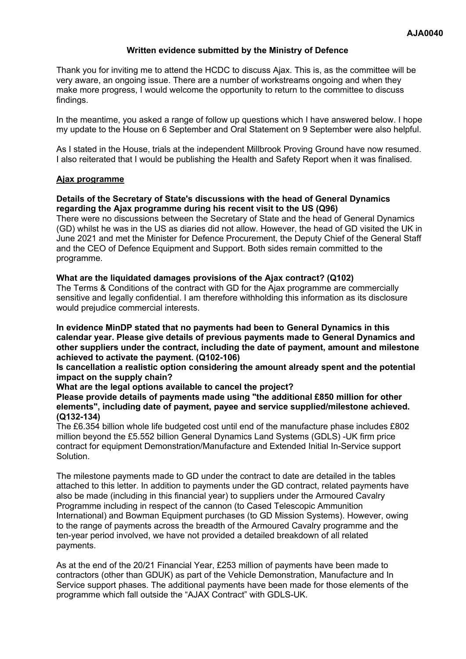### **Written evidence submitted by the Ministry of Defence**

Thank you for inviting me to attend the HCDC to discuss Ajax. This is, as the committee will be very aware, an ongoing issue. There are a number of workstreams ongoing and when they make more progress, I would welcome the opportunity to return to the committee to discuss findings.

In the meantime, you asked a range of follow up questions which I have answered below. I hope my update to the House on 6 September and Oral Statement on 9 September were also helpful.

As I stated in the House, trials at the independent Millbrook Proving Ground have now resumed. I also reiterated that I would be publishing the Health and Safety Report when it was finalised.

### **Ajax programme**

## **Details of the Secretary of State's discussions with the head of General Dynamics regarding the Ajax programme during his recent visit to the US (Q96)**

There were no discussions between the Secretary of State and the head of General Dynamics (GD) whilst he was in the US as diaries did not allow. However, the head of GD visited the UK in June 2021 and met the Minister for Defence Procurement, the Deputy Chief of the General Staff and the CEO of Defence Equipment and Support. Both sides remain committed to the programme.

### **What are the liquidated damages provisions of the Ajax contract? (Q102)**

The Terms & Conditions of the contract with GD for the Ajax programme are commercially sensitive and legally confidential. I am therefore withholding this information as its disclosure would prejudice commercial interests.

**In evidence MinDP stated that no payments had been to General Dynamics in this calendar year. Please give details of previous payments made to General Dynamics and other suppliers under the contract, including the date of payment, amount and milestone achieved to activate the payment. (Q102-106)**

**Is cancellation a realistic option considering the amount already spent and the potential impact on the supply chain?**

### **What are the legal options available to cancel the project?**

**Please provide details of payments made using "the additional £850 million for other elements", including date of payment, payee and service supplied/milestone achieved. (Q132-134)**

The £6.354 billion whole life budgeted cost until end of the manufacture phase includes £802 million beyond the £5.552 billion General Dynamics Land Systems (GDLS) -UK firm price contract for equipment Demonstration/Manufacture and Extended Initial In-Service support Solution.

The milestone payments made to GD under the contract to date are detailed in the tables attached to this letter. In addition to payments under the GD contract, related payments have also be made (including in this financial year) to suppliers under the Armoured Cavalry Programme including in respect of the cannon (to Cased Telescopic Ammunition International) and Bowman Equipment purchases (to GD Mission Systems). However, owing to the range of payments across the breadth of the Armoured Cavalry programme and the ten-year period involved, we have not provided a detailed breakdown of all related payments.

As at the end of the 20/21 Financial Year, £253 million of payments have been made to contractors (other than GDUK) as part of the Vehicle Demonstration, Manufacture and In Service support phases. The additional payments have been made for those elements of the programme which fall outside the "AJAX Contract" with GDLS-UK.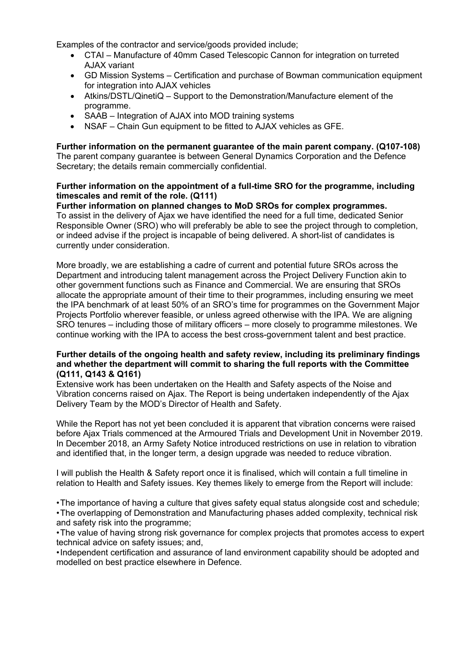Examples of the contractor and service/goods provided include;

- CTAI Manufacture of 40mm Cased Telescopic Cannon for integration on turreted AJAX variant
- GD Mission Systems Certification and purchase of Bowman communication equipment for integration into AJAX vehicles
- Atkins/DSTL/QinetiQ Support to the Demonstration/Manufacture element of the programme.
- SAAB Integration of AJAX into MOD training systems
- NSAF Chain Gun equipment to be fitted to AJAX vehicles as GFE.

#### **Further information on the permanent guarantee of the main parent company. (Q107-108)** The parent company guarantee is between General Dynamics Corporation and the Defence Secretary; the details remain commercially confidential.

# **Further information on the appointment of a full-time SRO for the programme, including timescales and remit of the role. (Q111)**

**Further information on planned changes to MoD SROs for complex programmes.** To assist in the delivery of Ajax we have identified the need for a full time, dedicated Senior Responsible Owner (SRO) who will preferably be able to see the project through to completion, or indeed advise if the project is incapable of being delivered. A short-list of candidates is currently under consideration.

More broadly, we are establishing a cadre of current and potential future SROs across the Department and introducing talent management across the Project Delivery Function akin to other government functions such as Finance and Commercial. We are ensuring that SROs allocate the appropriate amount of their time to their programmes, including ensuring we meet the IPA benchmark of at least 50% of an SRO's time for programmes on the Government Major Projects Portfolio wherever feasible, or unless agreed otherwise with the IPA. We are aligning SRO tenures – including those of military officers – more closely to programme milestones. We continue working with the IPA to access the best cross-government talent and best practice.

### **Further details of the ongoing health and safety review, including its preliminary findings and whether the department will commit to sharing the full reports with the Committee (Q111, Q143 & Q161)**

Extensive work has been undertaken on the Health and Safety aspects of the Noise and Vibration concerns raised on Ajax. The Report is being undertaken independently of the Ajax Delivery Team by the MOD's Director of Health and Safety.

While the Report has not yet been concluded it is apparent that vibration concerns were raised before Ajax Trials commenced at the Armoured Trials and Development Unit in November 2019. In December 2018, an Army Safety Notice introduced restrictions on use in relation to vibration and identified that, in the longer term, a design upgrade was needed to reduce vibration.

I will publish the Health & Safety report once it is finalised, which will contain a full timeline in relation to Health and Safety issues. Key themes likely to emerge from the Report will include:

•The importance of having a culture that gives safety equal status alongside cost and schedule; •The overlapping of Demonstration and Manufacturing phases added complexity, technical risk and safety risk into the programme;

•The value of having strong risk governance for complex projects that promotes access to expert technical advice on safety issues; and,

•Independent certification and assurance of land environment capability should be adopted and modelled on best practice elsewhere in Defence.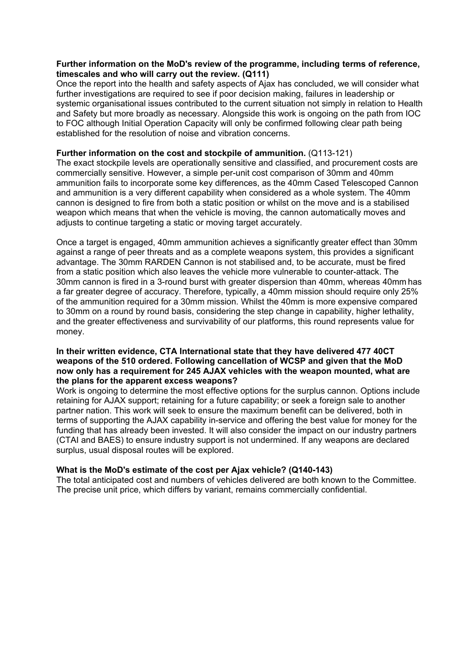### **Further information on the MoD's review of the programme, including terms of reference, timescales and who will carry out the review. (Q111)**

Once the report into the health and safety aspects of Ajax has concluded, we will consider what further investigations are required to see if poor decision making, failures in leadership or systemic organisational issues contributed to the current situation not simply in relation to Health and Safety but more broadly as necessary. Alongside this work is ongoing on the path from IOC to FOC although Initial Operation Capacity will only be confirmed following clear path being established for the resolution of noise and vibration concerns.

### **Further information on the cost and stockpile of ammunition.** (Q113-121)

The exact stockpile levels are operationally sensitive and classified, and procurement costs are commercially sensitive. However, a simple per-unit cost comparison of 30mm and 40mm ammunition fails to incorporate some key differences, as the 40mm Cased Telescoped Cannon and ammunition is a very different capability when considered as a whole system. The 40mm cannon is designed to fire from both a static position or whilst on the move and is a stabilised weapon which means that when the vehicle is moving, the cannon automatically moves and adjusts to continue targeting a static or moving target accurately.

Once a target is engaged, 40mm ammunition achieves a significantly greater effect than 30mm against a range of peer threats and as a complete weapons system, this provides a significant advantage. The 30mm RARDEN Cannon is not stabilised and, to be accurate, must be fired from a static position which also leaves the vehicle more vulnerable to counter-attack. The 30mm cannon is fired in a 3-round burst with greater dispersion than 40mm, whereas 40mm has a far greater degree of accuracy. Therefore, typically, a 40mm mission should require only 25% of the ammunition required for a 30mm mission. Whilst the 40mm is more expensive compared to 30mm on a round by round basis, considering the step change in capability, higher lethality, and the greater effectiveness and survivability of our platforms, this round represents value for money.

### **In their written evidence, CTA International state that they have delivered 477 40CT weapons of the 510 ordered. Following cancellation of WCSP and given that the MoD now only has a requirement for 245 AJAX vehicles with the weapon mounted, what are the plans for the apparent excess weapons?**

Work is ongoing to determine the most effective options for the surplus cannon. Options include retaining for AJAX support; retaining for a future capability; or seek a foreign sale to another partner nation. This work will seek to ensure the maximum benefit can be delivered, both in terms of supporting the AJAX capability in-service and offering the best value for money for the funding that has already been invested. It will also consider the impact on our industry partners (CTAI and BAES) to ensure industry support is not undermined. If any weapons are declared surplus, usual disposal routes will be explored.

## **What is the MoD's estimate of the cost per Ajax vehicle? (Q140-143)**

The total anticipated cost and numbers of vehicles delivered are both known to the Committee. The precise unit price, which differs by variant, remains commercially confidential.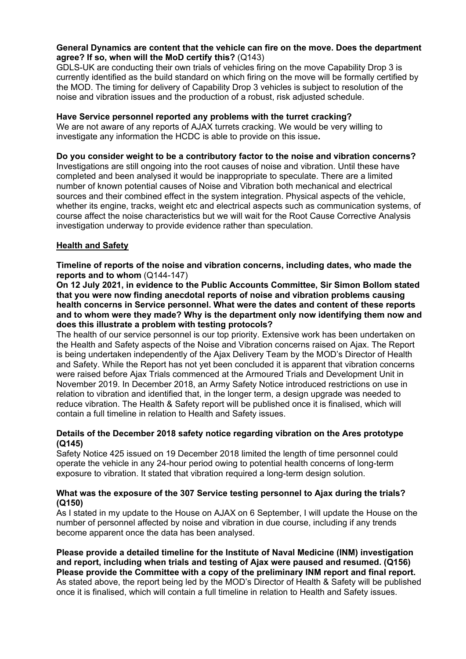### **General Dynamics are content that the vehicle can fire on the move. Does the department agree? If so, when will the MoD certify this?** (Q143)

GDLS-UK are conducting their own trials of vehicles firing on the move Capability Drop 3 is currently identified as the build standard on which firing on the move will be formally certified by the MOD. The timing for delivery of Capability Drop 3 vehicles is subject to resolution of the noise and vibration issues and the production of a robust, risk adjusted schedule.

## **Have Service personnel reported any problems with the turret cracking?**

We are not aware of any reports of AJAX turrets cracking. We would be very willing to investigate any information the HCDC is able to provide on this issue**.**

## **Do you consider weight to be a contributory factor to the noise and vibration concerns?**

Investigations are still ongoing into the root causes of noise and vibration. Until these have completed and been analysed it would be inappropriate to speculate. There are a limited number of known potential causes of Noise and Vibration both mechanical and electrical sources and their combined effect in the system integration. Physical aspects of the vehicle, whether its engine, tracks, weight etc and electrical aspects such as communication systems, of course affect the noise characteristics but we will wait for the Root Cause Corrective Analysis investigation underway to provide evidence rather than speculation.

# **Health and Safety**

**Timeline of reports of the noise and vibration concerns, including dates, who made the reports and to whom** (Q144-147)

**On 12 July 2021, in evidence to the Public Accounts Committee, Sir Simon Bollom stated that you were now finding anecdotal reports of noise and vibration problems causing health concerns in Service personnel. What were the dates and content of these reports and to whom were they made? Why is the department only now identifying them now and does this illustrate a problem with testing protocols?**

The health of our service personnel is our top priority. Extensive work has been undertaken on the Health and Safety aspects of the Noise and Vibration concerns raised on Ajax. The Report is being undertaken independently of the Ajax Delivery Team by the MOD's Director of Health and Safety. While the Report has not yet been concluded it is apparent that vibration concerns were raised before Ajax Trials commenced at the Armoured Trials and Development Unit in November 2019. In December 2018, an Army Safety Notice introduced restrictions on use in relation to vibration and identified that, in the longer term, a design upgrade was needed to reduce vibration. The Health & Safety report will be published once it is finalised, which will contain a full timeline in relation to Health and Safety issues.

## **Details of the December 2018 safety notice regarding vibration on the Ares prototype (Q145)**

Safety Notice 425 issued on 19 December 2018 limited the length of time personnel could operate the vehicle in any 24-hour period owing to potential health concerns of long-term exposure to vibration. It stated that vibration required a long-term design solution.

### **What was the exposure of the 307 Service testing personnel to Ajax during the trials? (Q150)**

As I stated in my update to the House on AJAX on 6 September, I will update the House on the number of personnel affected by noise and vibration in due course, including if any trends become apparent once the data has been analysed.

**Please provide a detailed timeline for the Institute of Naval Medicine (INM) investigation and report, including when trials and testing of Ajax were paused and resumed. (Q156) Please provide the Committee with a copy of the preliminary INM report and final report.** As stated above, the report being led by the MOD's Director of Health & Safety will be published once it is finalised, which will contain a full timeline in relation to Health and Safety issues.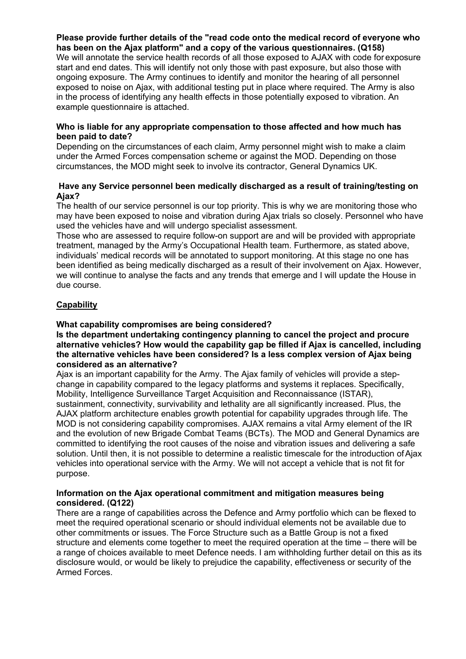# **Please provide further details of the "read code onto the medical record of everyone who has been on the Ajax platform" and a copy of the various questionnaires. (Q158)**

We will annotate the service health records of all those exposed to AJAX with code for exposure start and end dates. This will identify not only those with past exposure, but also those with ongoing exposure. The Army continues to identify and monitor the hearing of all personnel exposed to noise on Ajax, with additional testing put in place where required. The Army is also in the process of identifying any health effects in those potentially exposed to vibration. An example questionnaire is attached.

### **Who is liable for any appropriate compensation to those affected and how much has been paid to date?**

Depending on the circumstances of each claim, Army personnel might wish to make a claim under the Armed Forces compensation scheme or against the MOD. Depending on those circumstances, the MOD might seek to involve its contractor, General Dynamics UK.

### **Have any Service personnel been medically discharged as a result of training/testing on Ajax?**

The health of our service personnel is our top priority. This is why we are monitoring those who may have been exposed to noise and vibration during Ajax trials so closely. Personnel who have used the vehicles have and will undergo specialist assessment.

Those who are assessed to require follow-on support are and will be provided with appropriate treatment, managed by the Army's Occupational Health team. Furthermore, as stated above, individuals' medical records will be annotated to support monitoring. At this stage no one has been identified as being medically discharged as a result of their involvement on Ajax. However, we will continue to analyse the facts and any trends that emerge and I will update the House in due course.

# **Capability**

## **What capability compromises are being considered?**

**Is the department undertaking contingency planning to cancel the project and procure alternative vehicles? How would the capability gap be filled if Ajax is cancelled, including the alternative vehicles have been considered? Is a less complex version of Ajax being considered as an alternative?**

Ajax is an important capability for the Army. The Ajax family of vehicles will provide a stepchange in capability compared to the legacy platforms and systems it replaces. Specifically, Mobility, Intelligence Surveillance Target Acquisition and Reconnaissance (ISTAR), sustainment, connectivity, survivability and lethality are all significantly increased. Plus, the AJAX platform architecture enables growth potential for capability upgrades through life. The MOD is not considering capability compromises. AJAX remains a vital Army element of the IR and the evolution of new Brigade Combat Teams (BCTs). The MOD and General Dynamics are committed to identifying the root causes of the noise and vibration issues and delivering a safe solution. Until then, it is not possible to determine a realistic timescale for the introduction of Ajax vehicles into operational service with the Army. We will not accept a vehicle that is not fit for purpose.

### **Information on the Ajax operational commitment and mitigation measures being considered. (Q122)**

There are a range of capabilities across the Defence and Army portfolio which can be flexed to meet the required operational scenario or should individual elements not be available due to other commitments or issues. The Force Structure such as a Battle Group is not a fixed structure and elements come together to meet the required operation at the time – there will be a range of choices available to meet Defence needs. I am withholding further detail on this as its disclosure would, or would be likely to prejudice the capability, effectiveness or security of the Armed Forces.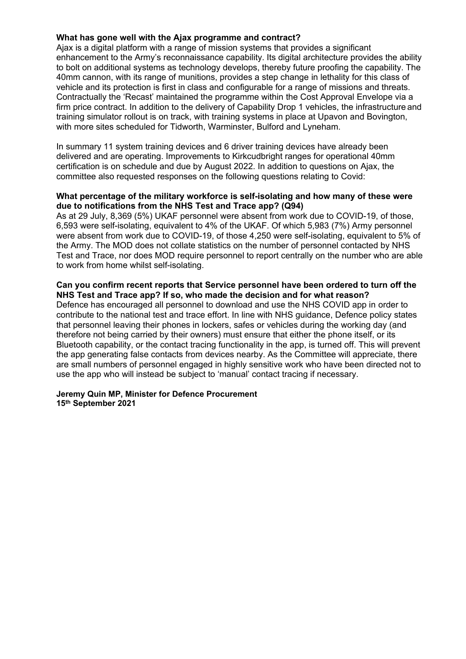### **What has gone well with the Ajax programme and contract?**

Ajax is a digital platform with a range of mission systems that provides a significant enhancement to the Army's reconnaissance capability. Its digital architecture provides the ability to bolt on additional systems as technology develops, thereby future proofing the capability. The 40mm cannon, with its range of munitions, provides a step change in lethality for this class of vehicle and its protection is first in class and configurable for a range of missions and threats. Contractually the 'Recast' maintained the programme within the Cost Approval Envelope via a firm price contract. In addition to the delivery of Capability Drop 1 vehicles, the infrastructure and training simulator rollout is on track, with training systems in place at Upavon and Bovington, with more sites scheduled for Tidworth, Warminster, Bulford and Lyneham.

In summary 11 system training devices and 6 driver training devices have already been delivered and are operating. Improvements to Kirkcudbright ranges for operational 40mm certification is on schedule and due by August 2022. In addition to questions on Ajax, the committee also requested responses on the following questions relating to Covid:

### **What percentage of the military workforce is self-isolating and how many of these were due to notifications from the NHS Test and Trace app? (Q94)**

As at 29 July, 8,369 (5%) UKAF personnel were absent from work due to COVID-19, of those, 6,593 were self-isolating, equivalent to 4% of the UKAF. Of which 5,983 (7%) Army personnel were absent from work due to COVID-19, of those 4,250 were self-isolating, equivalent to 5% of the Army. The MOD does not collate statistics on the number of personnel contacted by NHS Test and Trace, nor does MOD require personnel to report centrally on the number who are able to work from home whilst self-isolating.

### **Can you confirm recent reports that Service personnel have been ordered to turn off the NHS Test and Trace app? If so, who made the decision and for what reason?**

Defence has encouraged all personnel to download and use the NHS COVID app in order to contribute to the national test and trace effort. In line with NHS guidance, Defence policy states that personnel leaving their phones in lockers, safes or vehicles during the working day (and therefore not being carried by their owners) must ensure that either the phone itself, or its Bluetooth capability, or the contact tracing functionality in the app, is turned off. This will prevent the app generating false contacts from devices nearby. As the Committee will appreciate, there are small numbers of personnel engaged in highly sensitive work who have been directed not to use the app who will instead be subject to 'manual' contact tracing if necessary.

#### **Jeremy Quin MP, Minister for Defence Procurement 15th September 2021**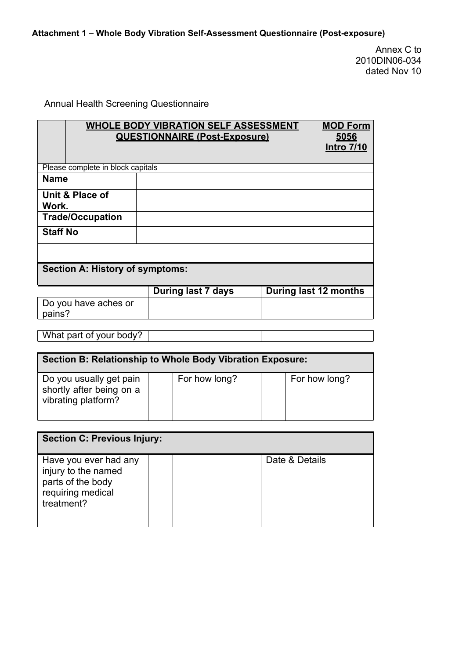Annex C to 2010DIN06-034 dated Nov 10

# Annual Health Screening Questionnaire

|                                        | <b>WHOLE BODY VIBRATION SELF ASSESSMENT</b><br><b>QUESTIONNAIRE (Post-Exposure)</b> | <b>MOD Form</b><br><u>5056</u><br><b>Intro 7/10</b> |
|----------------------------------------|-------------------------------------------------------------------------------------|-----------------------------------------------------|
| Please complete in block capitals      |                                                                                     |                                                     |
| <b>Name</b>                            |                                                                                     |                                                     |
| Unit & Place of<br>Work.               |                                                                                     |                                                     |
| <b>Trade/Occupation</b>                |                                                                                     |                                                     |
| <b>Staff No</b>                        |                                                                                     |                                                     |
|                                        |                                                                                     |                                                     |
| <b>Section A: History of symptoms:</b> |                                                                                     |                                                     |
|                                        | During last 7 days                                                                  | During last 12 months                               |
| Do you have aches or<br>pains?         |                                                                                     |                                                     |

What part of your body?

| Section B: Relationship to Whole Body Vibration Exposure:                  |  |               |  |               |  |  |  |
|----------------------------------------------------------------------------|--|---------------|--|---------------|--|--|--|
| Do you usually get pain<br>shortly after being on a<br>vibrating platform? |  | For how long? |  | For how long? |  |  |  |

| <b>Section C: Previous Injury:</b>                                                                   |                |
|------------------------------------------------------------------------------------------------------|----------------|
| Have you ever had any<br>injury to the named<br>parts of the body<br>requiring medical<br>treatment? | Date & Details |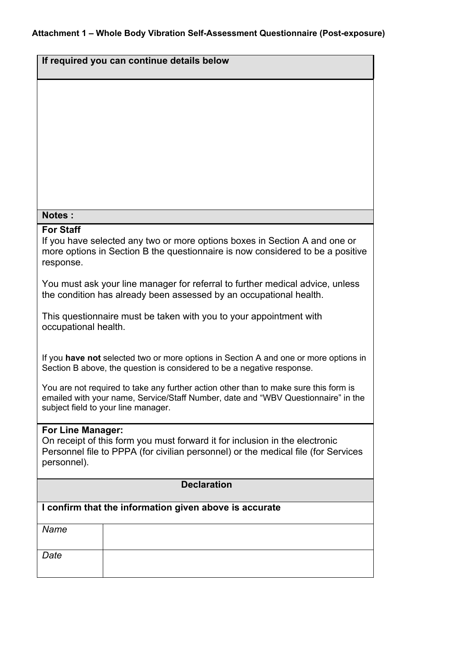| If required you can continue details below                                                                                                                                                                       |  |  |  |  |  |
|------------------------------------------------------------------------------------------------------------------------------------------------------------------------------------------------------------------|--|--|--|--|--|
|                                                                                                                                                                                                                  |  |  |  |  |  |
|                                                                                                                                                                                                                  |  |  |  |  |  |
|                                                                                                                                                                                                                  |  |  |  |  |  |
|                                                                                                                                                                                                                  |  |  |  |  |  |
|                                                                                                                                                                                                                  |  |  |  |  |  |
| <b>Notes:</b>                                                                                                                                                                                                    |  |  |  |  |  |
| <b>For Staff</b>                                                                                                                                                                                                 |  |  |  |  |  |
| If you have selected any two or more options boxes in Section A and one or<br>more options in Section B the questionnaire is now considered to be a positive<br>response.                                        |  |  |  |  |  |
| You must ask your line manager for referral to further medical advice, unless<br>the condition has already been assessed by an occupational health.                                                              |  |  |  |  |  |
| This questionnaire must be taken with you to your appointment with<br>occupational health.                                                                                                                       |  |  |  |  |  |
| If you have not selected two or more options in Section A and one or more options in<br>Section B above, the question is considered to be a negative response.                                                   |  |  |  |  |  |
| You are not required to take any further action other than to make sure this form is<br>emailed with your name, Service/Staff Number, date and "WBV Questionnaire" in the<br>subject field to your line manager. |  |  |  |  |  |
| <b>For Line Manager:</b><br>On receipt of this form you must forward it for inclusion in the electronic<br>Personnel file to PPPA (for civilian personnel) or the medical file (for Services<br>personnel).      |  |  |  |  |  |
| <b>Declaration</b>                                                                                                                                                                                               |  |  |  |  |  |
| I confirm that the information given above is accurate                                                                                                                                                           |  |  |  |  |  |
| Name                                                                                                                                                                                                             |  |  |  |  |  |
| Date                                                                                                                                                                                                             |  |  |  |  |  |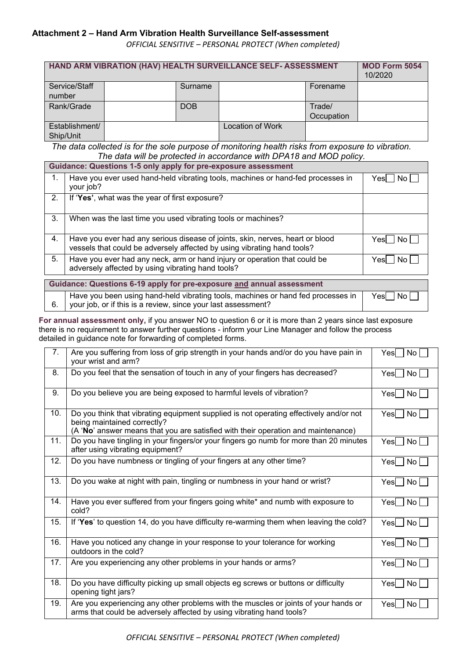## **Attachment 2 – Hand Arm Vibration Health Surveillance Self-assessment**

*OFFICIAL SENSITIVE – PERSONAL PROTECT (When completed)*

| HAND ARM VIBRATION (HAV) HEALTH SURVEILLANCE SELF- ASSESSMENT |  |            |                  |            | <b>MOD Form 5054</b><br>10/2020 |
|---------------------------------------------------------------|--|------------|------------------|------------|---------------------------------|
| Service/Staff                                                 |  | Surname    |                  | Forename   |                                 |
| number                                                        |  |            |                  |            |                                 |
| Rank/Grade                                                    |  | <b>DOB</b> |                  | Trade/     |                                 |
|                                                               |  |            |                  | Occupation |                                 |
| Establishment/                                                |  |            | Location of Work |            |                                 |
| Ship/Unit                                                     |  |            |                  |            |                                 |

*The data collected is for the sole purpose of monitoring health risks from exposure to vibration. The data will be protected in accordance with DPA18 and MOD policy.*

|    | Guidance: Questions 1-5 only apply for pre-exposure assessment                                                                                           |               |  |  |  |
|----|----------------------------------------------------------------------------------------------------------------------------------------------------------|---------------|--|--|--|
| 1. | Have you ever used hand-held vibrating tools, machines or hand-fed processes in<br>your job?                                                             | Yes<br>No.    |  |  |  |
| 2. | If 'Yes', what was the year of first exposure?                                                                                                           |               |  |  |  |
| 3. | When was the last time you used vibrating tools or machines?                                                                                             |               |  |  |  |
| 4. | Have you ever had any serious disease of joints, skin, nerves, heart or blood<br>vessels that could be adversely affected by using vibrating hand tools? | Yesl INo      |  |  |  |
| 5. | Have you ever had any neck, arm or hand injury or operation that could be<br>adversely affected by using vibrating hand tools?                           | Yesl I<br>No. |  |  |  |
|    |                                                                                                                                                          |               |  |  |  |
|    | Guidance: Questions 6-19 apply for pre-exposure and annual assessment                                                                                    |               |  |  |  |
|    | the contract of the contract of the contract of the contract of the contract of the contract of the contract of                                          |               |  |  |  |

|  |  | Have you been using hand-held vibrating tools, machines or hand fed processes in<br>$6.$ your job, or if this is a review, since your last assessment? | ∣ Yes∏ No Γ |
|--|--|--------------------------------------------------------------------------------------------------------------------------------------------------------|-------------|
|--|--|--------------------------------------------------------------------------------------------------------------------------------------------------------|-------------|

**For annual assessment only,** if you answer NO to question 6 or it is more than 2 years since last exposure there is no requirement to answer further questions - inform your Line Manager and follow the process detailed in guidance note for forwarding of completed forms.

| 7.  | Are you suffering from loss of grip strength in your hands and/or do you have pain in<br>your wrist and arm?                                                                                               | $Yes \nightharpoonup No$ |
|-----|------------------------------------------------------------------------------------------------------------------------------------------------------------------------------------------------------------|--------------------------|
| 8.  | Do you feel that the sensation of touch in any of your fingers has decreased?                                                                                                                              | $Yes \Box No \Box$       |
| 9.  | Do you believe you are being exposed to harmful levels of vibration?                                                                                                                                       | $Yes \nightharpoonup No$ |
| 10. | Do you think that vibrating equipment supplied is not operating effectively and/or not<br>being maintained correctly?<br>(A 'No' answer means that you are satisfied with their operation and maintenance) | No <sub>l</sub><br>Yesl  |
| 11. | Do you have tingling in your fingers/or your fingers go numb for more than 20 minutes<br>after using vibrating equipment?                                                                                  | No<br>Yes                |
| 12. | Do you have numbness or tingling of your fingers at any other time?                                                                                                                                        | $Yes \mid No \mid$       |
| 13. | Do you wake at night with pain, tingling or numbness in your hand or wrist?                                                                                                                                | Yes   No                 |
| 14. | Have you ever suffered from your fingers going white* and numb with exposure to<br>cold?                                                                                                                   | No l<br>Yesl             |
| 15. | If 'Yes' to question 14, do you have difficulty re-warming them when leaving the cold?                                                                                                                     | No<br>Yesl               |
| 16. | Have you noticed any change in your response to your tolerance for working<br>outdoors in the cold?                                                                                                        | Yes   No                 |
| 17. | Are you experiencing any other problems in your hands or arms?                                                                                                                                             | $Yes \cup No \cup$       |
| 18. | Do you have difficulty picking up small objects eg screws or buttons or difficulty<br>opening tight jars?                                                                                                  | $Yes \cup No \cup$       |
| 19. | Are you experiencing any other problems with the muscles or joints of your hands or<br>arms that could be adversely affected by using vibrating hand tools?                                                | Yesl  <br>No l           |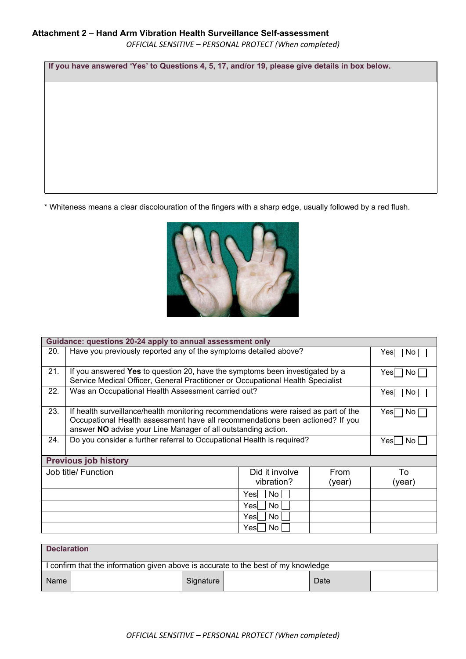*OFFICIAL SENSITIVE – PERSONAL PROTECT (When completed)*

**If you have answered 'Yes' to Questions 4, 5, 17, and/or 19, please give details in box below.**

\* Whiteness means a clear discolouration of the fingers with a sharp edge, usually followed by a red flush.



| Guidance: questions 20-24 apply to annual assessment only |                                                                                                                                                                                                                                       |                              |                |              |  |
|-----------------------------------------------------------|---------------------------------------------------------------------------------------------------------------------------------------------------------------------------------------------------------------------------------------|------------------------------|----------------|--------------|--|
| 20.                                                       | Have you previously reported any of the symptoms detailed above?                                                                                                                                                                      |                              |                |              |  |
| 21.                                                       | If you answered Yes to question 20, have the symptoms been investigated by a<br>Service Medical Officer, General Practitioner or Occupational Health Specialist                                                                       |                              |                | Yesl<br>No l |  |
| 22.                                                       | Was an Occupational Health Assessment carried out?                                                                                                                                                                                    |                              |                | Yesl<br>No l |  |
| 23.                                                       | If health surveillance/health monitoring recommendations were raised as part of the<br>Occupational Health assessment have all recommendations been actioned? If you<br>answer NO advise your Line Manager of all outstanding action. |                              |                | Yesl<br>No.  |  |
| 24.                                                       | Do you consider a further referral to Occupational Health is required?                                                                                                                                                                |                              |                |              |  |
|                                                           | <b>Previous job history</b>                                                                                                                                                                                                           |                              |                |              |  |
|                                                           | Job title/ Function                                                                                                                                                                                                                   | Did it involve<br>vibration? | From<br>(year) | To<br>(year) |  |
|                                                           |                                                                                                                                                                                                                                       | Yesl<br>No.                  |                |              |  |
|                                                           |                                                                                                                                                                                                                                       | Yesl<br>No.                  |                |              |  |
|                                                           |                                                                                                                                                                                                                                       | No<br>Yesl                   |                |              |  |
|                                                           |                                                                                                                                                                                                                                       | No.<br>Yesl                  |                |              |  |

| <b>Declaration</b>                                                               |           |  |      |  |  |  |
|----------------------------------------------------------------------------------|-----------|--|------|--|--|--|
| confirm that the information given above is accurate to the best of my knowledge |           |  |      |  |  |  |
| <b>Name</b>                                                                      | Signature |  | Date |  |  |  |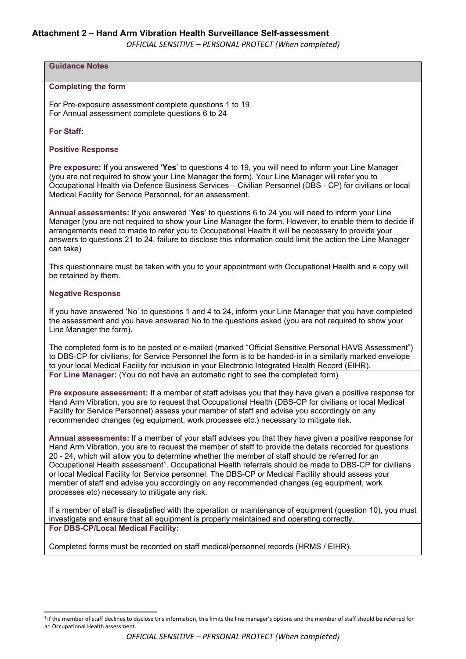*OFFICIAL SENSITIVE – PERSONAL PROTECT (When completed)*

# **Guidance Notes**

#### **Completing the form**

For Pre-exposure assessment complete questions 1 to 19 For Annual assessment complete questions 6 to 24

**For Staff:**

#### **Positive Response**

**Pre exposure:** If you answered '**Yes**' to questions 4 to 19, you will need to inform your Line Manager (you are not required to show your Line Manager the form). Your Line Manager will refer you to Occupational Health via Defence Business Services – Civilian Personnel (DBS - CP) for civilians or local Medical Facility for Service Personnel, for an assessment.

**Annual assessments:** If you answered '**Yes**' to questions 6 to 24 you will need to inform your Line Manager (you are not required to show your Line Manager the form. However, to enable them to decide if arrangements need to made to refer you to Occupational Health it will be necessary to provide your answers to questions 21 to 24, failure to disclose this information could limit the action the Line Manager can take)

This questionnaire must be taken with you to your appointment with Occupational Health and a copy will be retained by them.

#### **Negative Response**

If you have answered 'No' to questions 1 and 4 to 24, inform your Line Manager that you have completed the assessment and you have answered No to the questions asked (you are not required to show your Line Manager the form).

The completed form is to be posted or e-mailed (marked "Official Sensitive Personal HAVS Assessment") to DBS-CP for civilians, for Service Personnel the form is to be handed-in in a similarly marked envelope to your local Medical Facility for inclusion in your Electronic Integrated Health Record (EIHR). **For Line Manager:** (You do not have an automatic right to see the completed form)

**Pre exposure assessment:** If a member of staff advises you that they have given a positive response for Hand Arm Vibration, you are to request that Occupational Health (DBS-CP for civilians or local Medical Facility for Service Personnel) assess your member of staff and advise you accordingly on any recommended changes (eg equipment, work processes etc.) necessary to mitigate risk.

**Annual assessments:** If a member of your staff advises you that they have given a positive response for Hand Arm Vibration, you are to request the member of staff to provide the details recorded for questions 20 - 24, which will allow you to determine whether the member of staff should be referred for an Occupational Health assessment<sup>1</sup>. Occupational Health referrals should be made to DBS-CP for civilians or local Medical Facility for Service personnel. The DBS-CP or Medical Facility should assess your member of staff and advise you accordingly on any recommended changes (eg equipment, work processes etc) necessary to mitigate any risk.

If a member of staff is dissatisfied with the operation or maintenance of equipment (question 10), you must investigate and ensure that all equipment is properly maintained and operating correctly. **For DBS-CP/Local Medical Facility:**

Completed forms must be recorded on staff medical/personnel records (HRMS / EIHR).

<sup>&</sup>lt;sup>1</sup>If the member of staff declines to disclose this information, this limits the line manager's options and the member of staff should be referred for an Occupational Health assessment.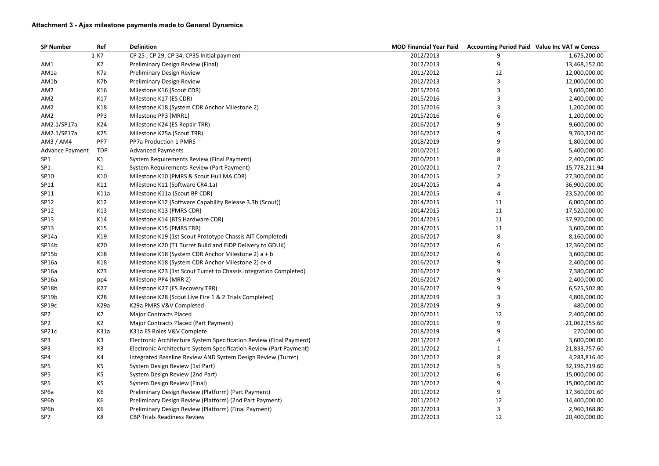| <b>SP Number</b> | Ref              | <b>Definition</b>                                                   | <b>MOD Financial Year Paid</b> |    | <b>Accounting Period Paid Value Inc VAT w Concss</b> |
|------------------|------------------|---------------------------------------------------------------------|--------------------------------|----|------------------------------------------------------|
|                  | 1 K7             | CP 25, CP 29, CP 34, CP35 Initial payment                           | 2012/2013                      | 9  | 1,675,200.00                                         |
| AM1              | K7               | Preliminary Design Review (Final)                                   | 2012/2013                      | 9  | 13,468,152.00                                        |
| AM1a             | K7a              | Preliminary Design Review                                           | 2011/2012                      | 12 | 12,000,000.00                                        |
| AM1b             | K7b              | Preliminary Design Review                                           | 2012/2013                      | 3  | 12,000,000.00                                        |
| AM <sub>2</sub>  | K16              | Milestone K16 (Scout CDR)                                           | 2015/2016                      | 3  | 3,600,000.00                                         |
| AM <sub>2</sub>  | K17              | Milestone K17 (ES CDR)                                              | 2015/2016                      | 3  | 2,400,000.00                                         |
| AM <sub>2</sub>  | K18              | Milestone K18 (System CDR Anchor Milestone 2)                       | 2015/2016                      | 3  | 1,200,000.00                                         |
| AM <sub>2</sub>  | PP3              | Milestone PP3 (MRR1)                                                | 2015/2016                      |    | 1,200,000.00                                         |
| AM2.1/SP17a      | K24              | Milestone K24 (ES Repair TRR)                                       | 2016/2017                      | 9  | 9,600,000.00                                         |
| AM2.1/SP17a      | K25              | Milestone K25a (Scout TRR)                                          | 2016/2017                      | 9  | 9,760,320.00                                         |
| AM3 / AM4        | PP7              | PP7a Production 1 PMRS                                              | 2018/2019                      | 9  | 1,800,000.00                                         |
| Advance Payment  | <b>TDP</b>       | <b>Advanced Payments</b>                                            | 2010/2011                      | 8  | 5,400,000.00                                         |
| SP <sub>1</sub>  | K1               | System Requirements Review (Final Payment)                          | 2010/2011                      |    | 2,400,000.00                                         |
| SP <sub>1</sub>  | K1               | System Requirements Review (Part Payment)                           | 2010/2011                      |    | 15,778,211.94                                        |
| SP10             | K10              | Milestone K10 (PMRS & Scout Hull MA CDR)                            | 2014/2015                      |    | 27,300,000.00                                        |
| SP11             | K11              | Milestone K11 (Software CR4.1a)                                     | 2014/2015                      |    | 36,900,000.00                                        |
| SP11             | K11a             | Milestone K11a (Scout BP CDR)                                       | 2014/2015                      |    | 23,520,000.00                                        |
| SP12             | K12              | Milestone K12 (Software Capability Release 3.3b (Scout))            | 2014/2015                      | 11 | 6,000,000.00                                         |
| SP12             | K13              | Milestone K13 (PMRS CDR)                                            | 2014/2015                      | 11 | 17,520,000.00                                        |
| SP13             | K14              | Milestone K14 (BTS Hardware CDR)                                    | 2014/2015                      | 11 | 37,920,000.00                                        |
| SP13             | K15              | Milestone K15 (PMRS TRR)                                            | 2014/2015                      | 11 | 3,600,000.00                                         |
| SP14a            | K19              | Milestone K19 (1st Scout Prototype Chassis AIT Completed)           | 2016/2017                      | 8  | 8,160,000.00                                         |
| SP14b            | K20              | Milestone K20 (T1 Turret Build and EIDP Delivery to GDUK)           | 2016/2017                      |    | 12,360,000.00                                        |
| SP15b            | K18              | Milestone K18 (System CDR Anchor Milestone 2) a + b                 | 2016/2017                      |    | 3,600,000.00                                         |
| SP16a            | K18              | Milestone K18 (System CDR Anchor Milestone 2) c+ d                  | 2016/2017                      | 9  | 2,400,000.00                                         |
| SP16a            | K23              | Milestone K23 (1st Scout Turret to Chassis Integration Completed)   | 2016/2017                      | 9  | 7,380,000.00                                         |
| SP16a            | pp4              | Milestone PP4 (MRR 2)                                               | 2016/2017                      | 9  | 2,400,000.00                                         |
| SP18b            | K27              | Milestone K27 (ES Recovery TRR)                                     | 2016/2017                      |    | 6,525,502.80                                         |
| SP19b            | K28              | Milestone K28 (Scout Live Fire 1 & 2 Trials Completed)              | 2018/2019                      | 3  | 4,806,000.00                                         |
| SP19c            | K <sub>29a</sub> | K29a PMRS V&V Completed                                             | 2018/2019                      | 9  | 480,000.00                                           |
| SP <sub>2</sub>  | K <sub>2</sub>   | <b>Major Contracts Placed</b>                                       | 2010/2011                      | 12 | 2,400,000.00                                         |
| SP <sub>2</sub>  | K2               | Major Contracts Placed (Part Payment)                               | 2010/2011                      | 9  | 21,062,955.60                                        |
| SP21c            | K31a             | K31a ES Roles V&V Complete                                          | 2018/2019                      | 9  | 270,000.00                                           |
| SP <sub>3</sub>  | K3               | Electronic Architecture System Specification Review (Final Payment) | 2011/2012                      |    | 3,600,000.00                                         |
| SP <sub>3</sub>  | K3               | Electronic Architecture System Specification Review (Part Payment)  | 2011/2012                      |    | 21,833,757.60                                        |
| SP4              | K4               | Integrated Baseline Review AND System Design Review (Turret)        | 2011/2012                      |    | 4,283,816.40                                         |
| SP <sub>5</sub>  | K5               | System Design Review (1st Part)                                     | 2011/2012                      |    | 32,196,219.60                                        |
| SP <sub>5</sub>  | K5               | System Design Review (2nd Part)                                     | 2011/2012                      |    | 15,000,000.00                                        |
| SP <sub>5</sub>  | K5               | System Design Review (Final)                                        | 2011/2012                      |    | 15,000,000.00                                        |
| SP <sub>6a</sub> | K6               | Preliminary Design Review (Platform) (Part Payment)                 | 2011/2012                      | 9  | 17,360,001.60                                        |
| SP6b             | K6               | Preliminary Design Review (Platform) (2nd Part Payment)             | 2011/2012                      | 12 | 14,400,000.00                                        |
| SP6b             | K6               | Preliminary Design Review (Platform) (Final Payment)                | 2012/2013                      | 3  | 2,960,368.80                                         |
| SP7              | K8               | <b>CBP Trials Readiness Review</b>                                  | 2012/2013                      | 12 | 20,400,000.00                                        |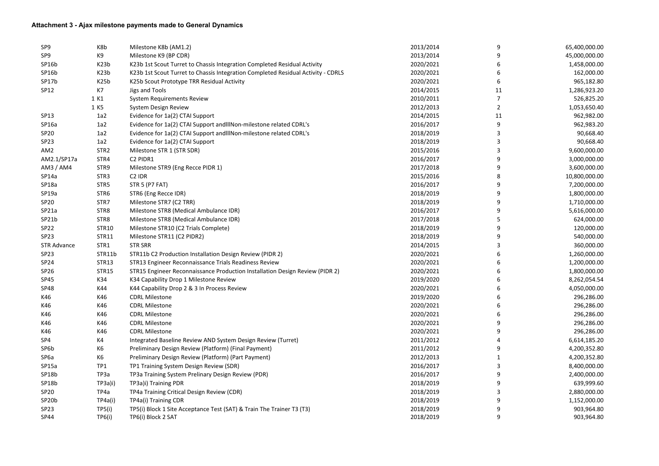### **Attachment 3 - Ajax milestone payments made to General Dynamics**

| SP <sub>9</sub>    | K8b               | Milestone K8b (AM1.2)                                                            | 2013/2014 | 9  | 65,400,000.00 |
|--------------------|-------------------|----------------------------------------------------------------------------------|-----------|----|---------------|
| SP9                | K9                | Milestone K9 (BP CDR)                                                            | 2013/2014 | 9  | 45,000,000.00 |
| SP16b              | K <sub>23</sub> b | K23b 1st Scout Turret to Chassis Integration Completed Residual Activity         | 2020/2021 | 6  | 1,458,000.00  |
| SP16b              | K <sub>23</sub> b | K23b 1st Scout Turret to Chassis Integration Completed Residual Activity - CDRLS | 2020/2021 | 6  | 162,000.00    |
| SP17b              | K <sub>25</sub> b | K25b Scout Prototype TRR Residual Activity                                       | 2020/2021 | 6  | 965,182.80    |
| SP12               | K7                | Jigs and Tools                                                                   | 2014/2015 | 11 | 1,286,923.20  |
|                    | 1 K1              | <b>System Requirements Review</b>                                                | 2010/2011 |    | 526,825.20    |
|                    | 1 K5              | System Design Review                                                             | 2012/2013 | 2  | 1,053,650.40  |
| SP13               | 1a2               | Evidence for 1a(2) CTAI Support                                                  | 2014/2015 | 11 | 962,982.00    |
| SP16a              | 1a2               | Evidence for 1a(2) CTAI Support and IIINon-milestone related CDRL's              | 2016/2017 |    | 962,983.20    |
| <b>SP20</b>        | 1a2               | Evidence for 1a(2) CTAI Support and IIINon-milestone related CDRL's              | 2018/2019 | 3  | 90,668.40     |
| SP <sub>23</sub>   | 1a2               | Evidence for 1a(2) CTAI Support                                                  | 2018/2019 |    | 90,668.40     |
| AM <sub>2</sub>    | STR <sub>2</sub>  | Milestone STR 1 (STR SDR)                                                        | 2015/2016 | 3  | 9,600,000.00  |
| AM2.1/SP17a        | STR4              | C2 PIDR1                                                                         | 2016/2017 | 9  | 3,000,000.00  |
| AM3 / AM4          | STR9              | Milestone STR9 (Eng Recce PIDR 1)                                                | 2017/2018 |    | 3,600,000.00  |
| SP14a              | STR <sub>3</sub>  | C <sub>2</sub> IDR                                                               | 2015/2016 | 8  | 10,800,000.00 |
| SP18a              | STR5              | <b>STR 5 (P7 FAT)</b>                                                            | 2016/2017 | 9  | 7,200,000.00  |
| SP19a              | STR6              | STR6 (Eng Recce IDR)                                                             | 2018/2019 | 9  | 1,800,000.00  |
| <b>SP20</b>        | STR7              | Milestone STR7 (C2 TRR)                                                          | 2018/2019 | 9  | 1,710,000.00  |
| SP21a              | STR8              | Milestone STR8 (Medical Ambulance IDR)                                           | 2016/2017 |    | 5,616,000.00  |
| SP21b              | STR8              | Milestone STR8 (Medical Ambulance IDR)                                           | 2017/2018 | 5  | 624,000.00    |
| SP <sub>22</sub>   | <b>STR10</b>      | Milestone STR10 (C2 Trials Complete)                                             | 2018/2019 | 9  | 120,000.00    |
| SP <sub>23</sub>   | <b>STR11</b>      | Milestone STR11 (C2 PIDR2)                                                       | 2018/2019 | 9  | 540,000.00    |
| <b>STR Advance</b> | STR1              | <b>STR SRR</b>                                                                   | 2014/2015 |    | 360,000.00    |
| SP <sub>23</sub>   | STR11b            | STR11b C2 Production Installation Design Review (PIDR 2)                         | 2020/2021 | 6  | 1,260,000.00  |
| <b>SP24</b>        | STR13             | STR13 Engineer Reconnaissance Trials Readiness Review                            | 2020/2021 |    | 1,200,000.00  |
| SP <sub>26</sub>   | <b>STR15</b>      | STR15 Engineer Reconnaissance Production Installation Design Review (PIDR 2)     | 2020/2021 | 6  | 1,800,000.00  |
| <b>SP45</b>        | K34               | K34 Capability Drop 1 Milestone Review                                           | 2019/2020 | 6  | 8,262,054.54  |
| <b>SP48</b>        | K44               | K44 Capability Drop 2 & 3 In Process Review                                      | 2020/2021 |    | 4,050,000.00  |
| K46                | K46               | <b>CDRL Milestone</b>                                                            | 2019/2020 |    | 296,286.00    |
| K46                | K46               | <b>CDRL Milestone</b>                                                            | 2020/2021 | 6  | 296,286.00    |
| K46                | K46               | <b>CDRL Milestone</b>                                                            | 2020/2021 | 6  | 296,286.00    |
| K46                | K46               | <b>CDRL Milestone</b>                                                            | 2020/2021 |    | 296,286.00    |
| K46                | K46               | <b>CDRL Milestone</b>                                                            | 2020/2021 | 9  | 296,286.00    |
| SP4                | K4                | Integrated Baseline Review AND System Design Review (Turret)                     | 2011/2012 |    | 6,614,185.20  |
| SP6b               | K <sub>6</sub>    | Preliminary Design Review (Platform) (Final Payment)                             | 2011/2012 | 9  | 4,200,352.80  |
| SP <sub>6a</sub>   | K6                | Preliminary Design Review (Platform) (Part Payment)                              | 2012/2013 |    | 4,200,352.80  |
| SP15a              | TP1               | TP1 Training System Design Review (SDR)                                          | 2016/2017 |    | 8,400,000.00  |
| SP18b              | TP3a              | TP3a Training System Prelinary Design Review (PDR)                               | 2016/2017 |    | 2,400,000.00  |
| SP18b              | TP3a(i)           | TP3a)i) Training PDR                                                             | 2018/2019 |    | 639,999.60    |
| <b>SP20</b>        | TP4a              | TP4a Training Critical Design Review (CDR)                                       | 2018/2019 |    | 2,880,000.00  |
| SP <sub>20</sub> b | TP4a(i)           | TP4a(i) Training CDR                                                             | 2018/2019 |    | 1,152,000.00  |
| SP <sub>23</sub>   | TP5(i)            | TP5(i) Block 1 Site Acceptance Test (SAT) & Train The Trainer T3 (T3)            | 2018/2019 | 9  | 903,964.80    |
| SP44               | TP6(i)            | TP6(i) Block 2 SAT                                                               | 2018/2019 | 9  | 903,964.80    |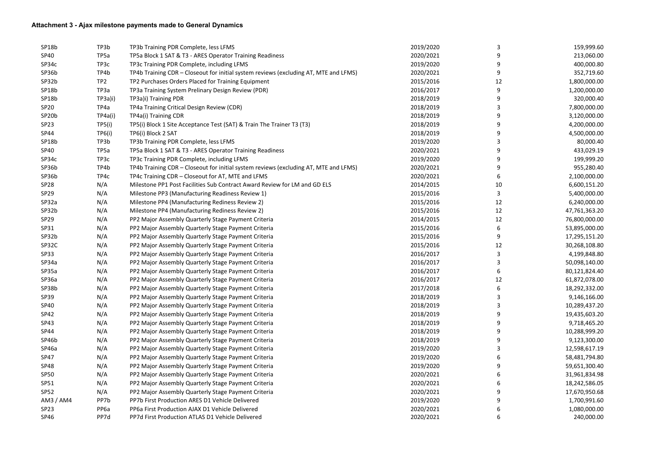| SP18b              | TP3b             | TP3b Training PDR Complete, less LFMS                                                | 2019/2020 | 3  | 159,999.60    |
|--------------------|------------------|--------------------------------------------------------------------------------------|-----------|----|---------------|
| SP40               | TP <sub>5a</sub> | TP5a Block 1 SAT & T3 - ARES Operator Training Readiness                             | 2020/2021 | 9  | 213,060.00    |
| SP34c              | TP3c             | TP3c Training PDR Complete, including LFMS                                           | 2019/2020 | 9  | 400,000.80    |
| SP36b              | TP4b             | TP4b Training CDR - Closeout for initial system reviews (excluding AT, MTE and LFMS) | 2020/2021 | 9  | 352,719.60    |
| SP32b              | TP <sub>2</sub>  | TP2 Purchases Orders Placed for Training Equipment                                   | 2015/2016 | 12 | 1,800,000.00  |
| SP18b              | TP3a             | TP3a Training System Prelinary Design Review (PDR)                                   | 2016/2017 | 9  | 1,200,000.00  |
| SP18b              | TP3a)i)          | TP3a)i) Training PDR                                                                 | 2018/2019 | 9  | 320,000.40    |
| SP <sub>20</sub>   | TP4a             | TP4a Training Critical Design Review (CDR)                                           | 2018/2019 | 3  | 7,800,000.00  |
| SP <sub>20</sub> b | TP4a(i)          | TP4a(i) Training CDR                                                                 | 2018/2019 | 9  | 3,120,000.00  |
| SP <sub>23</sub>   | TP5(i)           | TP5(i) Block 1 Site Acceptance Test (SAT) & Train The Trainer T3 (T3)                | 2018/2019 |    | 4,200,000.00  |
| SP44               | TP6(i)           | TP6(i) Block 2 SAT                                                                   | 2018/2019 | 9  | 4,500,000.00  |
| SP18b              | TP3b             | TP3b Training PDR Complete, less LFMS                                                | 2019/2020 |    | 80,000.40     |
| SP40               | TP <sub>5a</sub> | TP5a Block 1 SAT & T3 - ARES Operator Training Readiness                             | 2020/2021 | 9  | 433,029.19    |
| SP34c              | TP3c             | TP3c Training PDR Complete, including LFMS                                           | 2019/2020 | 9  | 199,999.20    |
| SP36b              | TP4b             | TP4b Training CDR - Closeout for initial system reviews (excluding AT, MTE and LFMS) | 2020/2021 | 9  | 955,280.40    |
| SP36b              | TP4c             | TP4c Training CDR - Closeout for AT, MTE and LFMS                                    | 2020/2021 | 6  | 2,100,000.00  |
| SP <sub>28</sub>   | N/A              | Milestone PP1 Post Facilities Sub Contract Award Review for LM and GD ELS            | 2014/2015 | 10 | 6,600,151.20  |
| SP <sub>29</sub>   | N/A              | Milestone PP3 (Manufacturing Readiness Review 1)                                     | 2015/2016 | 3  | 5,400,000.00  |
| SP32a              | N/A              | Milestone PP4 (Manufacturing Rediness Review 2)                                      | 2015/2016 | 12 | 6,240,000.00  |
| SP32b              | N/A              | Milestone PP4 (Manufacturing Rediness Review 2)                                      | 2015/2016 | 12 | 47,761,363.20 |
| SP <sub>29</sub>   | N/A              | PP2 Major Assembly Quarterly Stage Payment Criteria                                  | 2014/2015 | 12 | 76,800,000.00 |
| SP31               | N/A              | PP2 Major Assembly Quarterly Stage Payment Criteria                                  | 2015/2016 | 6  | 53,895,000.00 |
| SP32b              | N/A              | PP2 Major Assembly Quarterly Stage Payment Criteria                                  | 2015/2016 | 9  | 17,295,151.20 |
| SP32C              | N/A              | PP2 Major Assembly Quarterly Stage Payment Criteria                                  | 2015/2016 | 12 | 30,268,108.80 |
| SP33               | N/A              | PP2 Major Assembly Quarterly Stage Payment Criteria                                  | 2016/2017 |    | 4,199,848.80  |
| SP34a              | N/A              | PP2 Major Assembly Quarterly Stage Payment Criteria                                  | 2016/2017 |    | 50,098,140.00 |
| SP35a              | N/A              | PP2 Major Assembly Quarterly Stage Payment Criteria                                  | 2016/2017 | 6  | 80,121,824.40 |
| SP36a              | N/A              | PP2 Major Assembly Quarterly Stage Payment Criteria                                  | 2016/2017 | 12 | 61,872,078.00 |
| SP38b              | N/A              | PP2 Major Assembly Quarterly Stage Payment Criteria                                  | 2017/2018 | 6  | 18,292,332.00 |
| SP39               | N/A              | PP2 Major Assembly Quarterly Stage Payment Criteria                                  | 2018/2019 | 3  | 9,146,166.00  |
| <b>SP40</b>        | N/A              | PP2 Major Assembly Quarterly Stage Payment Criteria                                  | 2018/2019 | 3  | 10,289,437.20 |
| <b>SP42</b>        | N/A              | PP2 Major Assembly Quarterly Stage Payment Criteria                                  | 2018/2019 | 9  | 19,435,603.20 |
| SP43               | N/A              | PP2 Major Assembly Quarterly Stage Payment Criteria                                  | 2018/2019 | 9  | 9,718,465.20  |
| SP44               | N/A              | PP2 Major Assembly Quarterly Stage Payment Criteria                                  | 2018/2019 | 9  | 10,288,999.20 |
| SP46b              | N/A              | PP2 Major Assembly Quarterly Stage Payment Criteria                                  | 2018/2019 | 9  | 9,123,300.00  |
| SP46a              | N/A              | PP2 Major Assembly Quarterly Stage Payment Criteria                                  | 2019/2020 |    | 12,598,617.19 |
| <b>SP47</b>        | N/A              | PP2 Major Assembly Quarterly Stage Payment Criteria                                  | 2019/2020 | 6  | 58,481,794.80 |
| <b>SP48</b>        | N/A              | PP2 Major Assembly Quarterly Stage Payment Criteria                                  | 2019/2020 | 9  | 59,651,300.40 |
| SP <sub>50</sub>   | N/A              | PP2 Major Assembly Quarterly Stage Payment Criteria                                  | 2020/2021 |    | 31,961,834.98 |
| SP51               | N/A              | PP2 Major Assembly Quarterly Stage Payment Criteria                                  | 2020/2021 |    | 18,242,586.05 |
| <b>SP52</b>        | N/A              | PP2 Major Assembly Quarterly Stage Payment Criteria                                  | 2020/2021 |    | 17,670,950.68 |
| AM3 / AM4          | PP7b             | PP7b First Production ARES D1 Vehicle Delivered                                      | 2019/2020 |    | 1,700,991.60  |
| SP <sub>23</sub>   | PP <sub>6a</sub> | PP6a First Production AJAX D1 Vehicle Delivered                                      | 2020/2021 |    | 1,080,000.00  |
| SP46               | PP7d             | PP7d First Production ATLAS D1 Vehicle Delivered                                     | 2020/2021 | 6  | 240,000.00    |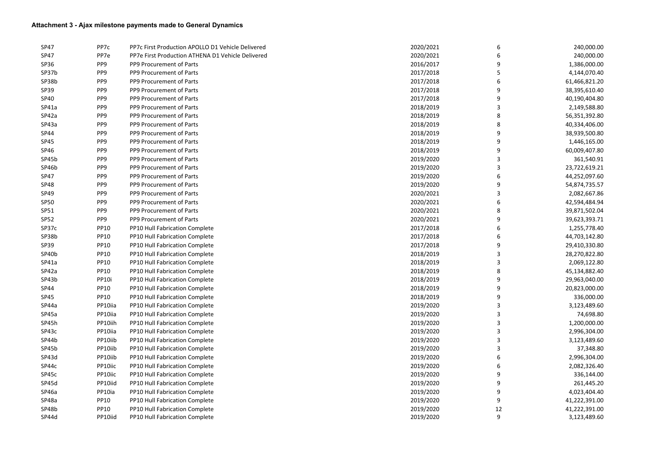### **Attachment 3 - Ajax milestone payments made to General Dynamics**

| <b>SP47</b> | PP7c            | PP7c First Production APOLLO D1 Vehicle Delivered | 2020/2021 | 6  | 240,000.00    |
|-------------|-----------------|---------------------------------------------------|-----------|----|---------------|
| <b>SP47</b> | PP7e            | PP7e First Production ATHENA D1 Vehicle Delivered | 2020/2021 |    | 240,000.00    |
| <b>SP36</b> | PP <sub>9</sub> | PP9 Procurement of Parts                          | 2016/2017 | 9  | 1,386,000.00  |
| SP37b       | PP <sub>9</sub> | PP9 Procurement of Parts                          | 2017/2018 | 5  | 4,144,070.40  |
| SP38b       | PP <sub>9</sub> | PP9 Procurement of Parts                          | 2017/2018 |    | 61,466,821.20 |
| SP39        | PP <sub>9</sub> | PP9 Procurement of Parts                          | 2017/2018 |    | 38,395,610.40 |
| SP40        | PP <sub>9</sub> | PP9 Procurement of Parts                          | 2017/2018 | 9  | 40,190,404.80 |
| SP41a       | PP <sub>9</sub> | PP9 Procurement of Parts                          | 2018/2019 |    | 2,149,588.80  |
| SP42a       | PP <sub>9</sub> | PP9 Procurement of Parts                          | 2018/2019 | 8  | 56,351,392.80 |
| SP43a       | PP <sub>9</sub> | PP9 Procurement of Parts                          | 2018/2019 | 8  | 40,334,406.00 |
| SP44        | PP <sub>9</sub> | PP9 Procurement of Parts                          | 2018/2019 | 9  | 38,939,500.80 |
| <b>SP45</b> | PP <sub>9</sub> | PP9 Procurement of Parts                          | 2018/2019 | 9  | 1,446,165.00  |
| SP46        | PP <sub>9</sub> | PP9 Procurement of Parts                          | 2018/2019 | 9  | 60,009,407.80 |
| SP45b       | PP <sub>9</sub> | PP9 Procurement of Parts                          | 2019/2020 |    | 361,540.91    |
| SP46b       | PP <sub>9</sub> | PP9 Procurement of Parts                          | 2019/2020 |    | 23,722,619.21 |
| <b>SP47</b> | PP <sub>9</sub> | PP9 Procurement of Parts                          | 2019/2020 | 6  | 44,252,097.60 |
| <b>SP48</b> | PP <sub>9</sub> | PP9 Procurement of Parts                          | 2019/2020 | 9  | 54,874,735.57 |
| SP49        | PP <sub>9</sub> | PP9 Procurement of Parts                          | 2020/2021 |    | 2,082,667.86  |
| <b>SP50</b> | PP <sub>9</sub> | PP9 Procurement of Parts                          | 2020/2021 |    | 42,594,484.94 |
| SP51        | PP <sub>9</sub> | PP9 Procurement of Parts                          | 2020/2021 | 8  | 39,871,502.04 |
| <b>SP52</b> | PP <sub>9</sub> | PP9 Procurement of Parts                          | 2020/2021 | 9  | 39,623,393.71 |
| SP37c       | <b>PP10</b>     | PP10 Hull Fabrication Complete                    | 2017/2018 |    | 1,255,778.40  |
| SP38b       | <b>PP10</b>     | PP10 Hull Fabrication Complete                    | 2017/2018 | 6  | 44,703,142.80 |
| SP39        | <b>PP10</b>     | PP10 Hull Fabrication Complete                    | 2017/2018 | 9  | 29,410,330.80 |
| SP40b       | <b>PP10</b>     | PP10 Hull Fabrication Complete                    | 2018/2019 | 3  | 28,270,822.80 |
| SP41a       | <b>PP10</b>     | PP10 Hull Fabrication Complete                    | 2018/2019 | 3  | 2,069,122.80  |
| SP42a       | <b>PP10</b>     | PP10 Hull Fabrication Complete                    | 2018/2019 | 8  | 45,134,882.40 |
| SP43b       | PP10i           | PP10 Hull Fabrication Complete                    | 2018/2019 | 9  | 29,963,040.00 |
| SP44        | <b>PP10</b>     | PP10 Hull Fabrication Complete                    | 2018/2019 | 9  | 20,823,000.00 |
| <b>SP45</b> | <b>PP10</b>     | PP10 Hull Fabrication Complete                    | 2018/2019 | 9  | 336,000.00    |
| SP44a       | PP10iia         | PP10 Hull Fabrication Complete                    | 2019/2020 | 3  | 3,123,489.60  |
| SP45a       | PP10iia         | PP10 Hull Fabrication Complete                    | 2019/2020 | 3  | 74,698.80     |
| SP45h       | PP10iih         | PP10 Hull Fabrication Complete                    | 2019/2020 | 3  | 1,200,000.00  |
| SP43c       | PP10iia         | PP10 Hull Fabrication Complete                    | 2019/2020 | 3  | 2,996,304.00  |
| SP44b       | PP10iib         | PP10 Hull Fabrication Complete                    | 2019/2020 | 3  | 3,123,489.60  |
| SP45b       | PP10iib         | PP10 Hull Fabrication Complete                    | 2019/2020 |    | 37,348.80     |
| SP43d       | PP10iib         | PP10 Hull Fabrication Complete                    | 2019/2020 |    | 2,996,304.00  |
| SP44c       | PP10iic         | PP10 Hull Fabrication Complete                    | 2019/2020 | 6  | 2,082,326.40  |
| SP45c       | PP10iic         | PP10 Hull Fabrication Complete                    | 2019/2020 | 9  | 336,144.00    |
| SP45d       | PP10iid         | PP10 Hull Fabrication Complete                    | 2019/2020 | 9  | 261,445.20    |
| SP46a       | PP10ia          | PP10 Hull Fabrication Complete                    | 2019/2020 | 9  | 4,023,404.40  |
| SP48a       | <b>PP10</b>     | PP10 Hull Fabrication Complete                    | 2019/2020 | 9  | 41,222,391.00 |
| SP48b       | <b>PP10</b>     | PP10 Hull Fabrication Complete                    | 2019/2020 | 12 | 41,222,391.00 |
| SP44d       | PP10iid         | PP10 Hull Fabrication Complete                    | 2019/2020 | 9  | 3,123,489.60  |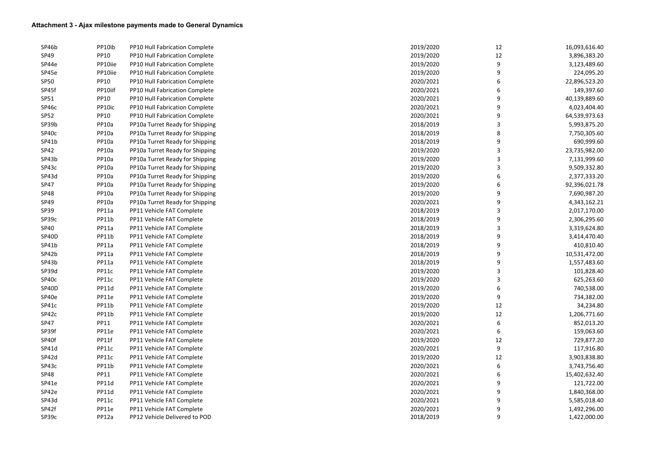| SP46b       | PP10ib      | PP10 Hull Fabrication Complete  | 2019/2020 | 12 | 16,093,616.40 |
|-------------|-------------|---------------------------------|-----------|----|---------------|
| SP49        | <b>PP10</b> | PP10 Hull Fabrication Complete  | 2019/2020 | 12 | 3,896,383.20  |
| SP44e       | PP10iie     | PP10 Hull Fabrication Complete  | 2019/2020 | 9  | 3,123,489.60  |
| SP45e       | PP10iie     | PP10 Hull Fabrication Complete  | 2019/2020 | 9  | 224,095.20    |
| <b>SP50</b> | <b>PP10</b> | PP10 Hull Fabrication Complete  | 2020/2021 | 6  | 22,896,523.20 |
| SP45f       | PP10iif     | PP10 Hull Fabrication Complete  | 2020/2021 | 6  | 149,397.60    |
| SP51        | <b>PP10</b> | PP10 Hull Fabrication Complete  | 2020/2021 | 9  | 40,139,889.60 |
| SP46c       | PP10ic      | PP10 Hull Fabrication Complete  | 2020/2021 | 9  | 4,023,404.40  |
| <b>SP52</b> | <b>PP10</b> | PP10 Hull Fabrication Complete  | 2020/2021 | 9  | 64,539,973.63 |
| SP39b       | PP10a       | PP10a Turret Ready for Shipping | 2018/2019 |    | 5,993,875.20  |
| SP40c       | PP10a       | PP10a Turret Ready for Shipping | 2018/2019 | 8  | 7,750,305.60  |
| SP41b       | PP10a       | PP10a Turret Ready for Shipping | 2018/2019 | 9  | 690,999.60    |
| SP42        | PP10a       | PP10a Turret Ready for Shipping | 2019/2020 |    | 23,735,982.00 |
| SP43b       | PP10a       | PP10a Turret Ready for Shipping | 2019/2020 |    | 7,131,999.60  |
| SP43c       | PP10a       | PP10a Turret Ready for Shipping | 2019/2020 |    | 9,509,332.80  |
| SP43d       | PP10a       | PP10a Turret Ready for Shipping | 2019/2020 | 6  | 2,377,333.20  |
| <b>SP47</b> | PP10a       | PP10a Turret Ready for Shipping | 2019/2020 | 6  | 92,396,021.78 |
| SP48        | PP10a       | PP10a Turret Ready for Shipping | 2019/2020 | 9  | 7,690,987.20  |
| SP49        | PP10a       | PP10a Turret Ready for Shipping | 2020/2021 | 9  | 4,343,162.21  |
| SP39        | PP11a       | PP11 Vehicle FAT Complete       | 2018/2019 |    | 2,017,170.00  |
| SP39c       | PP11b       | PP11 Vehicle FAT Complete       | 2018/2019 | 9  | 2,306,295.60  |
| SP40        | PP11a       | PP11 Vehicle FAT Complete       | 2018/2019 | 3  | 3,319,624.80  |
| SP40D       | PP11b       | PP11 Vehicle FAT Complete       | 2018/2019 | 9  | 3,414,470.40  |
| SP41b       | PP11a       | PP11 Vehicle FAT Complete       | 2018/2019 | 9  | 410,810.40    |
| SP42b       | PP11a       | PP11 Vehicle FAT Complete       | 2018/2019 | 9  | 10,531,472.00 |
| SP43b       | PP11a       | PP11 Vehicle FAT Complete       | 2018/2019 | 9  | 1,557,483.60  |
| SP39d       | PP11c       | PP11 Vehicle FAT Complete       | 2019/2020 | 3  | 101,828.40    |
| SP40c       | PP11c       | PP11 Vehicle FAT Complete       | 2019/2020 |    | 625,263.60    |
| SP40D       | PP11d       | PP11 Vehicle FAT Complete       | 2019/2020 | 6  | 740,538.00    |
| SP40e       | PP11e       | PP11 Vehicle FAT Complete       | 2019/2020 | 9  | 734,382.00    |
| SP41c       | PP11b       | PP11 Vehicle FAT Complete       | 2019/2020 | 12 | 34,234.80     |
| SP42c       | PP11b       | PP11 Vehicle FAT Complete       | 2019/2020 | 12 | 1,206,771.60  |
| <b>SP47</b> | PP11        | PP11 Vehicle FAT Complete       | 2020/2021 | 6  | 852,013.20    |
| SP39f       | PP11e       | PP11 Vehicle FAT Complete       | 2020/2021 | 6  | 159,063.60    |
| SP40f       | PP11f       | PP11 Vehicle FAT Complete       | 2019/2020 | 12 | 729,877.20    |
| SP41d       | PP11c       | PP11 Vehicle FAT Complete       | 2020/2021 | 9  | 117,916.80    |
| SP42d       | PP11c       | PP11 Vehicle FAT Complete       | 2019/2020 | 12 | 3,903,838.80  |
| SP43c       | PP11b       | PP11 Vehicle FAT Complete       | 2020/2021 | 6  | 3,743,756.40  |
| <b>SP48</b> | PP11        | PP11 Vehicle FAT Complete       | 2020/2021 | 6  | 15,402,632.40 |
| SP41e       | PP11d       | PP11 Vehicle FAT Complete       | 2020/2021 | 9  | 121,722.00    |
| SP42e       | PP11d       | PP11 Vehicle FAT Complete       | 2020/2021 | 9  | 1,840,368.00  |
| SP43d       | PP11c       | PP11 Vehicle FAT Complete       | 2020/2021 | 9  | 5,585,018.40  |
| SP42f       | PP11e       | PP11 Vehicle FAT Complete       | 2020/2021 | 9  | 1,492,296.00  |
| SP39c       | PP12a       | PP12 Vehicle Delivered to POD   | 2018/2019 | 9  | 1,422,000.00  |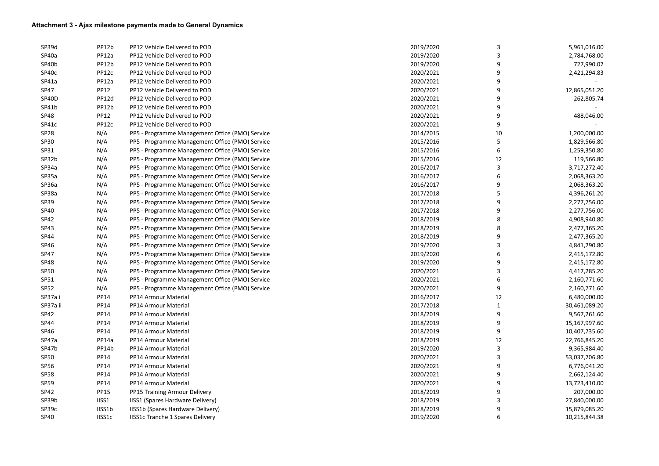| SP39d            | PP12b       | PP12 Vehicle Delivered to POD                   | 2019/2020 | 3  | 5,961,016.00  |
|------------------|-------------|-------------------------------------------------|-----------|----|---------------|
| SP40a            | PP12a       | PP12 Vehicle Delivered to POD                   | 2019/2020 |    | 2,784,768.00  |
| SP40b            | PP12b       | PP12 Vehicle Delivered to POD                   | 2019/2020 | 9  | 727,990.07    |
| SP40c            | PP12c       | PP12 Vehicle Delivered to POD                   | 2020/2021 |    | 2,421,294.83  |
| SP41a            | PP12a       | PP12 Vehicle Delivered to POD                   | 2020/2021 | 9  |               |
| <b>SP47</b>      | <b>PP12</b> | PP12 Vehicle Delivered to POD                   | 2020/2021 |    | 12,865,051.20 |
| SP40D            | PP12d       | PP12 Vehicle Delivered to POD                   | 2020/2021 | 9  | 262,805.74    |
| SP41b            | PP12b       | PP12 Vehicle Delivered to POD                   | 2020/2021 |    |               |
| SP48             | <b>PP12</b> | PP12 Vehicle Delivered to POD                   | 2020/2021 |    | 488,046.00    |
| SP41c            | PP12c       | PP12 Vehicle Delivered to POD                   | 2020/2021 |    |               |
| SP <sub>28</sub> | N/A         | PP5 - Programme Management Office (PMO) Service | 2014/2015 | 10 | 1,200,000.00  |
| <b>SP30</b>      | N/A         | PP5 - Programme Management Office (PMO) Service | 2015/2016 |    | 1,829,566.80  |
| SP31             | N/A         | PP5 - Programme Management Office (PMO) Service | 2015/2016 | 6  | 1,259,350.80  |
| SP32b            | N/A         | PP5 - Programme Management Office (PMO) Service | 2015/2016 | 12 | 119,566.80    |
| SP34a            | N/A         | PP5 - Programme Management Office (PMO) Service | 2016/2017 |    | 3,717,272.40  |
| SP35a            | N/A         | PP5 - Programme Management Office (PMO) Service | 2016/2017 | 6  | 2,068,363.20  |
| SP36a            | N/A         | PP5 - Programme Management Office (PMO) Service | 2016/2017 | 9  | 2,068,363.20  |
| SP38a            | N/A         | PP5 - Programme Management Office (PMO) Service | 2017/2018 |    | 4,396,261.20  |
| SP39             | N/A         | PP5 - Programme Management Office (PMO) Service | 2017/2018 |    | 2,277,756.00  |
| SP40             | N/A         | PP5 - Programme Management Office (PMO) Service | 2017/2018 |    | 2,277,756.00  |
| SP42             | N/A         | PP5 - Programme Management Office (PMO) Service | 2018/2019 | 8  | 4,908,940.80  |
| SP43             | N/A         | PP5 - Programme Management Office (PMO) Service | 2018/2019 |    | 2,477,365.20  |
| SP44             | N/A         | PP5 - Programme Management Office (PMO) Service | 2018/2019 |    | 2,477,365.20  |
| SP46             | N/A         | PP5 - Programme Management Office (PMO) Service | 2019/2020 |    | 4,841,290.80  |
| <b>SP47</b>      | N/A         | PP5 - Programme Management Office (PMO) Service | 2019/2020 |    | 2,415,172.80  |
| <b>SP48</b>      | N/A         | PP5 - Programme Management Office (PMO) Service | 2019/2020 |    | 2,415,172.80  |
| <b>SP50</b>      | N/A         | PP5 - Programme Management Office (PMO) Service | 2020/2021 |    | 4,417,285.20  |
| SP51             | N/A         | PP5 - Programme Management Office (PMO) Service | 2020/2021 | 6  | 2,160,771.60  |
| SP <sub>52</sub> | N/A         | PP5 - Programme Management Office (PMO) Service | 2020/2021 | 9  | 2,160,771.60  |
| SP37ai           | PP14        | PP14 Armour Material                            | 2016/2017 | 12 | 6,480,000.00  |
| SP37a ii         | PP14        | PP14 Armour Material                            | 2017/2018 |    | 30,461,089.20 |
| <b>SP42</b>      | PP14        | PP14 Armour Material                            | 2018/2019 | 9  | 9,567,261.60  |
| SP44             | PP14        | PP14 Armour Material                            | 2018/2019 | 9  | 15,167,997.60 |
| SP46             | PP14        | PP14 Armour Material                            | 2018/2019 | 9  | 10,407,735.60 |
| SP47a            | PP14a       | PP14 Armour Material                            | 2018/2019 | 12 | 22,766,845.20 |
| SP47b            | PP14b       | PP14 Armour Material                            | 2019/2020 | 3  | 9,365,984.40  |
| SP <sub>50</sub> | PP14        | PP14 Armour Material                            | 2020/2021 | 3  | 53,037,706.80 |
| <b>SP56</b>      | PP14        | PP14 Armour Material                            | 2020/2021 | 9  | 6,776,041.20  |
| SP58             | PP14        | PP14 Armour Material                            | 2020/2021 | 9  | 2,662,124.40  |
| SP59             | PP14        | PP14 Armour Material                            | 2020/2021 | 9  | 13,723,410.00 |
| SP42             | <b>PP15</b> | PP15 Training Armour Delivery                   | 2018/2019 | 9  | 207,000.00    |
| SP39b            | IISS1       | IISS1 (Spares Hardware Delivery)                | 2018/2019 | 3  | 27,840,000.00 |
| SP39c            | IISS1b      | <b>IISS1b (Spares Hardware Delivery)</b>        | 2018/2019 | 9  | 15,879,085.20 |
| SP40             | IISS1c      | <b>IISS1c Tranche 1 Spares Delivery</b>         | 2019/2020 | 6  | 10,215,844.38 |